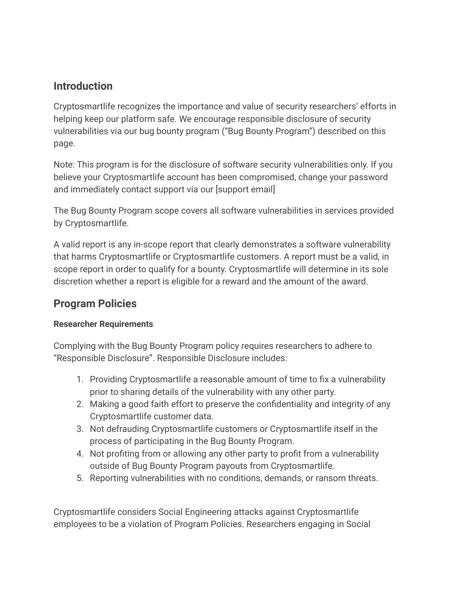#### **Introduction**

Cryptosmartlife recognizes the importance and value of security researchers' efforts in helping keep our platform safe. We encourage responsible disclosure of security vulnerabilities via our bug bounty program ("Bug Bounty Program") described on this page.

Note: This program is for the disclosure of software security vulnerabilities only. If you believe your Cryptosmartlife account has been compromised, change your password and immediately contact support via our [support email]

The Bug Bounty Program scope covers all software vulnerabilities in services provided by Cryptosmartlife.

A valid report is any in-scope report that clearly demonstrates a software vulnerability that harms Cryptosmartlife or Cryptosmartlife customers. A report must be a valid, in scope report in order to qualify for a bounty. Cryptosmartlife will determine in its sole discretion whether a report is eligible for a reward and the amount of the award.

### **Program Policies**

#### **Researcher Requirements**

Complying with the Bug Bounty Program policy requires researchers to adhere to "Responsible Disclosure". Responsible Disclosure includes:

- 1. Providing Cryptosmartlife a reasonable amount of time to fix a vulnerability prior to sharing details of the vulnerability with any other party.
- 2. Making a good faith effort to preserve the confidentiality and integrity of any Cryptosmartlife customer data.
- 3. Not defrauding Cryptosmartlife customers or Cryptosmartlife itself in the process of participating in the Bug Bounty Program.
- 4. Not profiting from or allowing any other party to profit from a vulnerability outside of Bug Bounty Program payouts from Cryptosmartlife.
- 5. Reporting vulnerabilities with no conditions, demands, or ransom threats.

Cryptosmartlife considers Social Engineering attacks against Cryptosmartlife employees to be a violation of Program Policies. Researchers engaging in Social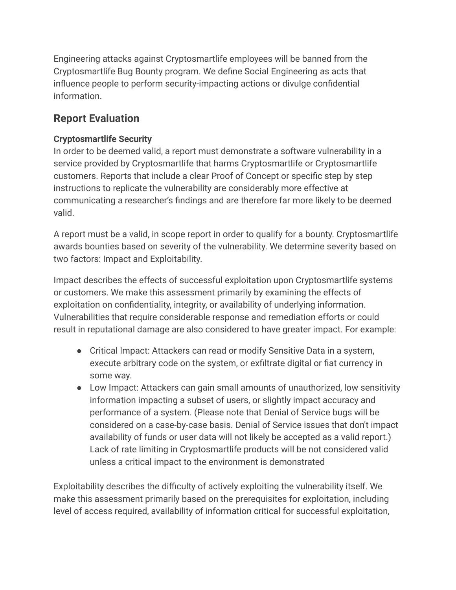Engineering attacks against Cryptosmartlife employees will be banned from the Cryptosmartlife Bug Bounty program. We define Social Engineering as acts that influence people to perform security-impacting actions or divulge confidential information.

## **Report Evaluation**

#### **Cryptosmartlife Security**

In order to be deemed valid, a report must demonstrate a software vulnerability in a service provided by Cryptosmartlife that harms Cryptosmartlife or Cryptosmartlife customers. Reports that include a clear Proof of Concept or specific step by step instructions to replicate the vulnerability are considerably more effective at communicating a researcher's findings and are therefore far more likely to be deemed valid.

A report must be a valid, in scope report in order to qualify for a bounty. Cryptosmartlife awards bounties based on severity of the vulnerability. We determine severity based on two factors: Impact and Exploitability.

Impact describes the effects of successful exploitation upon Cryptosmartlife systems or customers. We make this assessment primarily by examining the effects of exploitation on confidentiality, integrity, or availability of underlying information. Vulnerabilities that require considerable response and remediation efforts or could result in reputational damage are also considered to have greater impact. For example:

- Critical Impact: Attackers can read or modify Sensitive Data in a system, execute arbitrary code on the system, or exfiltrate digital or fiat currency in some way.
- Low Impact: Attackers can gain small amounts of unauthorized, low sensitivity information impacting a subset of users, or slightly impact accuracy and performance of a system. (Please note that Denial of Service bugs will be considered on a case-by-case basis. Denial of Service issues that don't impact availability of funds or user data will not likely be accepted as a valid report.) Lack of rate limiting in Cryptosmartlife products will be not considered valid unless a critical impact to the environment is demonstrated

Exploitability describes the difficulty of actively exploiting the vulnerability itself. We make this assessment primarily based on the prerequisites for exploitation, including level of access required, availability of information critical for successful exploitation,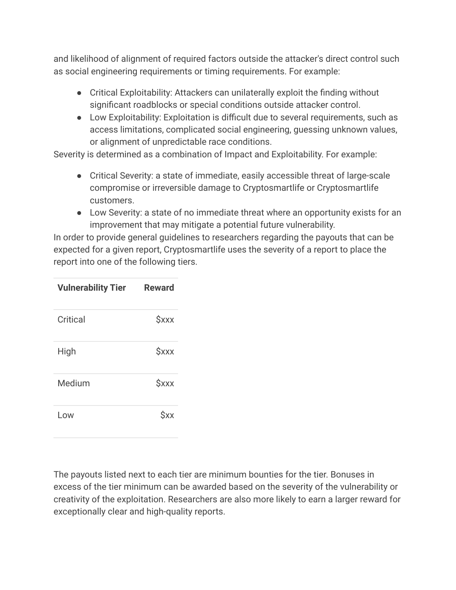and likelihood of alignment of required factors outside the attacker's direct control such as social engineering requirements or timing requirements. For example:

- Critical Exploitability: Attackers can unilaterally exploit the finding without significant roadblocks or special conditions outside attacker control.
- Low Exploitability: Exploitation is difficult due to several requirements, such as access limitations, complicated social engineering, guessing unknown values, or alignment of unpredictable race conditions.

Severity is determined as a combination of Impact and Exploitability. For example:

- Critical Severity: a state of immediate, easily accessible threat of large-scale compromise or irreversible damage to Cryptosmartlife or Cryptosmartlife customers.
- Low Severity: a state of no immediate threat where an opportunity exists for an improvement that may mitigate a potential future vulnerability.

In order to provide general guidelines to researchers regarding the payouts that can be expected for a given report, Cryptosmartlife uses the severity of a report to place the report into one of the following tiers.

| <b>Vulnerability Tier</b> | <b>Reward</b>             |
|---------------------------|---------------------------|
| Critical                  | <b><i><u>Sxxx</u></i></b> |
| High                      | <b><i><u>Sxxx</u></i></b> |
| Medium                    | <b><i><u>Sxxx</u></i></b> |
| Low                       | Sxx                       |

The payouts listed next to each tier are minimum bounties for the tier. Bonuses in excess of the tier minimum can be awarded based on the severity of the vulnerability or creativity of the exploitation. Researchers are also more likely to earn a larger reward for exceptionally clear and high-quality reports.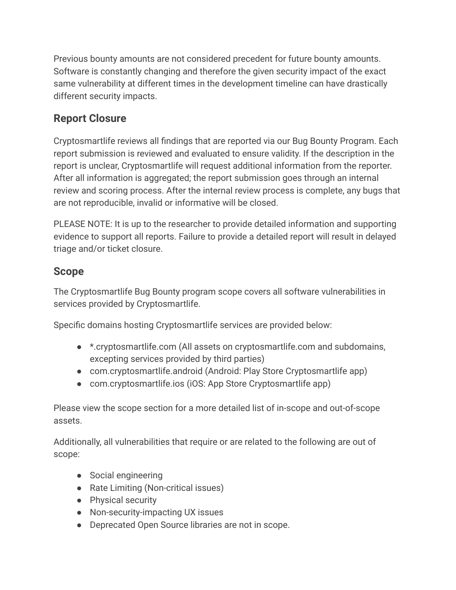Previous bounty amounts are not considered precedent for future bounty amounts. Software is constantly changing and therefore the given security impact of the exact same vulnerability at different times in the development timeline can have drastically different security impacts.

# **Report Closure**

Cryptosmartlife reviews all findings that are reported via our Bug Bounty Program. Each report submission is reviewed and evaluated to ensure validity. If the description in the report is unclear, Cryptosmartlife will request additional information from the reporter. After all information is aggregated; the report submission goes through an internal review and scoring process. After the internal review process is complete, any bugs that are not reproducible, invalid or informative will be closed.

PLEASE NOTE: It is up to the researcher to provide detailed information and supporting evidence to support all reports. Failure to provide a detailed report will result in delayed triage and/or ticket closure.

# **Scope**

The Cryptosmartlife Bug Bounty program scope covers all software vulnerabilities in services provided by Cryptosmartlife.

Specific domains hosting Cryptosmartlife services are provided below:

- \*.cryptosmartlife.com (All assets on cryptosmartlife.com and subdomains, excepting services provided by third parties)
- com.cryptosmartlife.android (Android: Play Store Cryptosmartlife app)
- com.cryptosmartlife.ios (iOS: App Store Cryptosmartlife app)

Please view the scope section for a more detailed list of in-scope and out-of-scope assets.

Additionally, all vulnerabilities that require or are related to the following are out of scope:

- Social engineering
- Rate Limiting (Non-critical issues)
- Physical security
- Non-security-impacting UX issues
- Deprecated Open Source libraries are not in scope.